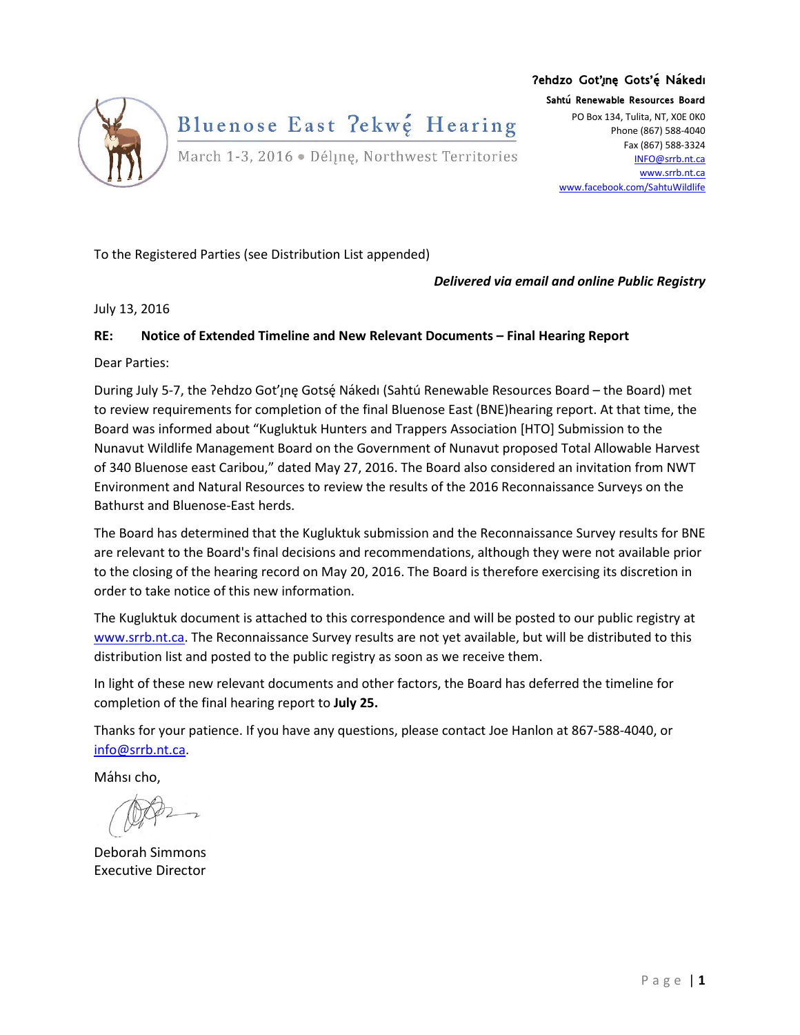

## **Ɂehdzo Got'ı̨nę Gots'ę́ Nákedı**

**Sahtú Renewable Resources Board** PO Box 134, Tulita, NT, X0E 0K0 Phone (867) 588-4040 Fax (867) 588-3324 [INFO@srrb.nt.ca](mailto:INFO@srrb.nt.ca) [www.srrb.nt.ca](http://www.srrb.nt.ca/) [www.facebook.com/SahtuWildlife](http://www.facebook.com/SahtuWildlife)

To the Registered Parties (see Distribution List appended)

*Delivered via email and online Public Registry*

July 13, 2016

## **RE: Notice of Extended Timeline and New Relevant Documents – Final Hearing Report**

Dear Parties:

During July 5-7, the ?ehdzo Got'ınę Gotsę́ Nakedı (Sahtú Renewable Resources Board – the Board) met to review requirements for completion of the final Bluenose East (BNE)hearing report. At that time, the Board was informed about "Kugluktuk Hunters and Trappers Association [HTO] Submission to the Nunavut Wildlife Management Board on the Government of Nunavut proposed Total Allowable Harvest of 340 Bluenose east Caribou," dated May 27, 2016. The Board also considered an invitation from NWT Environment and Natural Resources to review the results of the 2016 Reconnaissance Surveys on the Bathurst and Bluenose-East herds.

The Board has determined that the Kugluktuk submission and the Reconnaissance Survey results for BNE are relevant to the Board's final decisions and recommendations, although they were not available prior to the closing of the hearing record on May 20, 2016. The Board is therefore exercising its discretion in order to take notice of this new information.

The Kugluktuk document is attached to this correspondence and will be posted to our public registry at [www.srrb.nt.ca.](http://www.srrb.nt.ca/) The Reconnaissance Survey results are not yet available, but will be distributed to this distribution list and posted to the public registry as soon as we receive them.

In light of these new relevant documents and other factors, the Board has deferred the timeline for completion of the final hearing report to **July 25.**

Thanks for your patience. If you have any questions, please contact Joe Hanlon at 867-588-4040, or [info@srrb.nt.ca.](mailto:info@srrb.nt.ca)

Máhsı cho,

Deborah Simmons Executive Director